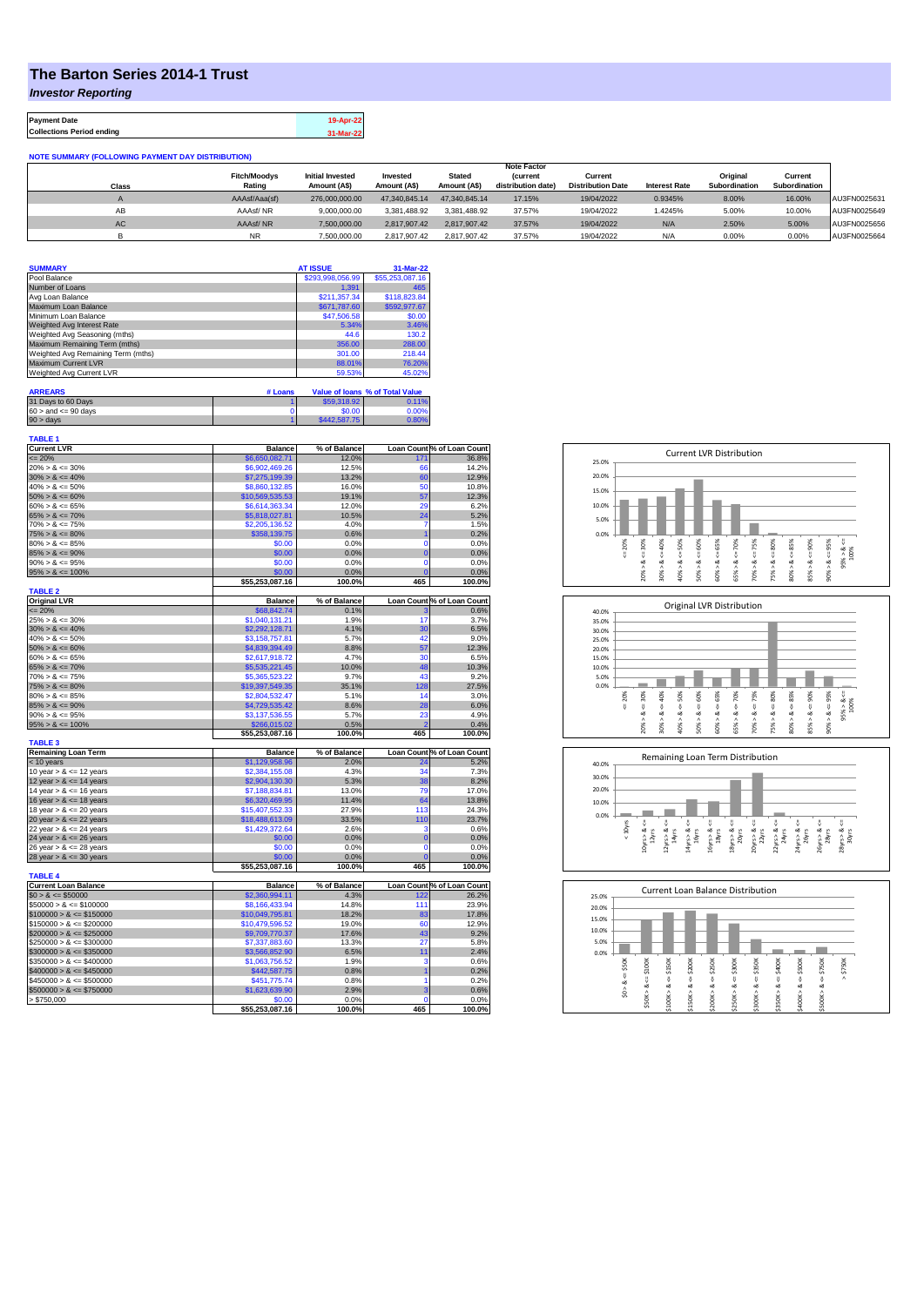## **The Barton Series 2014-1 Trust**

*Investor Reporting*

**Payment Date 19-Apr-22 Collections Period ending 31-Mar-22**

**NOTE SUMMARY (FOLLOWING PAYMENT DAY DISTRIBUTION)**

|       |                     |                         |               |               | <b>Note Factor</b> |                          |                      |                      |               |              |
|-------|---------------------|-------------------------|---------------|---------------|--------------------|--------------------------|----------------------|----------------------|---------------|--------------|
|       | <b>Fitch/Moodvs</b> | <b>Initial Invested</b> | Invested      | <b>Stated</b> | <i>(current</i>    | Current                  |                      | Original             | Current       |              |
| Class | Rating              | Amount (A\$)            | Amount (A\$)  | Amount (A\$)  | distribution date) | <b>Distribution Date</b> | <b>Interest Rate</b> | <b>Subordination</b> | Subordination |              |
|       | AAAsf/Aaa(sf)       | 276.000.000.00          | 47.340.845.14 | 47.340.845.14 | 17.15%             | 19/04/2022               | 0.9345%              | 8.00%                | 16.00%        | AU3FN0025631 |
| AB    | AAAsf/NR            | 9.000.000.00            | 3.381.488.92  | 3.381.488.92  | 37.57%             | 19/04/2022               | 1.4245%              | 5.00%                | 10.00%        | AU3FN0025649 |
| AC    | AAAsf/NR            | 7.500.000.00            | 2.817.907.42  | 2.817.907.42  | 37.57%             | 19/04/2022               | N/A                  | 2.50%                | 5.00%         | AU3FN0025656 |
|       | <b>NR</b>           | 7.500.000.00            | 2.817.907.42  | 2.817.907.42  | 37.57%             | 19/04/2022               | N/A                  | 0.00%                | 0.00%         | AU3FN0025664 |

| <b>SUMMARY</b>                     | <b>AT ISSUE</b>  | 31-Mar-22       |
|------------------------------------|------------------|-----------------|
| Pool Balance                       | \$293,998,056.99 | \$55,253,087.16 |
| Number of Loans                    | 1.391            | 465             |
| Avg Loan Balance                   | \$211,357.34     | \$118,823.84    |
| Maximum Loan Balance               | \$671,787.60     | \$592,977.67    |
| Minimum Loan Balance               | \$47,506.58      | \$0.00          |
| Weighted Avg Interest Rate         | 5.34%            | 3.46%           |
| Weighted Avg Seasoning (mths)      | 44.6             | 130.2           |
| Maximum Remaining Term (mths)      | 356.00           | 288.00          |
| Weighted Avg Remaining Term (mths) | 301.00           | 218.44          |
| Maximum Current LVR                | 88.01%           | 76.20%          |
| Weighted Avg Current LVR           | 59.53%           | 45.02%          |

| <b>ARREARS</b>            | # Loans |              | Value of Ioans % of Total Value |
|---------------------------|---------|--------------|---------------------------------|
| 31 Days to 60 Days        |         | \$59,318.92  | 0.11%                           |
| $60 >$ and $\leq 90$ days |         | \$0.00       | 0.00%                           |
| $90 >$ days               |         | \$442,587.75 | 0.80%                           |

| TABLE 1<br><b>Current LVR</b> | <b>Balance</b>  | % of Balance |                 | Loan Count % of Loan Count |
|-------------------------------|-----------------|--------------|-----------------|----------------------------|
| $= 20%$                       | \$6,650,082.71  | 12.0%        | 17 <sup>4</sup> | 36.8%                      |
| $20\% > 8 \le 30\%$           | \$6,902,469.26  | 12.5%        | 66              | 14.2%                      |
| $30\% > 8 \le 40\%$           | \$7,275,199.39  | 13.2%        | 60              | 12.9%                      |
| $40\% > 8 \le 50\%$           | \$8,860,132.85  | 16.0%        | 50              | 10.8%                      |
| $50\% > 8 \le 60\%$           | \$10,569,535.53 | 19.1%        | 57              | 12.3%                      |
| $60\% > 8 \le 65\%$           | \$6,614,363.34  | 12.0%        | 29              | 6.2%                       |
| $65\% > 8 \le 70\%$           | \$5,818,027.81  | 10.5%        | 24              | 5.2%                       |
| $70\% > 8 \le 75\%$           | \$2,205,136.52  | 4.0%         | 7               | 1.5%                       |
| $75\% > 8 \le 80\%$           | \$358,139.75    | 0.6%         | $\overline{1}$  | 0.2%                       |
| $80\% > 8 \le 85\%$           | \$0.00          | 0.0%         | 0               | 0.0%                       |
| $85\% > 8 \le 90\%$           | \$0.00          | 0.0%         | $\overline{0}$  | 0.0%                       |
| $90\% > 8 \le 95\%$           | \$0.00          | 0.0%         | $\mathbf 0$     | 0.0%                       |
| $95\% > 8 \le 100\%$          | \$0.00          | 0.0%         | $\mathbf 0$     | 0.0%                       |
|                               | \$55,253,087.16 | 100.0%       | 465             | 100.0%                     |
| <b>TABLE 2</b>                |                 |              |                 |                            |
| <b>Original LVR</b>           | <b>Balance</b>  | % of Balance |                 | Loan Count % of Loan Count |
| $= 20%$                       | \$68,842.74     | 0.1%         | 3               | 0.6%                       |
| $25\% > 8 \le 30\%$           | \$1,040,131.21  | 1.9%         | 17              | 3.7%                       |
| $30\% > 8 \le 40\%$           | \$2,292,128.71  | 4.1%         | 30              | 6.5%                       |
| $40\% > 8 \le 50\%$           | \$3,158,757.81  | 5.7%         | 42              | 9.0%                       |
| $50\% > 8 \le 60\%$           | \$4,839,394.49  | 8.8%         | 57              | 12.3%                      |
| $60\% > 8 \le 65\%$           | \$2,617,918.72  | 4.7%         | 30              | 6.5%                       |
| $65\% > 8 \le 70\%$           | \$5,535,221.45  | 10.0%        | 48              | 10.3%                      |
| $70\% > 8 \le 75\%$           | \$5,365,523.22  | 9.7%         | 43              | 9.2%                       |
| $75\% > 8 \le 80\%$           | \$19,397,549.35 | 35.1%        | 128             | 27.5%                      |
| $80\% > 8 \le 85\%$           | \$2,804,532.47  | 5.1%         | 14              | 3.0%                       |
| $85\% > 8 \le 90\%$           | \$4,729,535.42  | 8.6%         | 28              | 6.0%                       |
| $90\% > 8 \le 95\%$           | \$3,137,536.55  | 5.7%         | 23              | 4.9%                       |
| $95\% > 8 \le 100\%$          | \$266,015,02    | 0.5%         |                 | 0.4%                       |
| <b>TABLE 3</b>                | \$55,253,087.16 | 100.0%       | 465             | 100.0%                     |
| <b>Remaining Loan Term</b>    | <b>Balance</b>  | % of Balance |                 | Loan Count % of Loan Count |
| < 10 years                    | \$1,129,958.96  | 2.0%         | 24              | 5.2%                       |
| 10 year $> 8 \le 12$ years    | \$2,384,155.08  | 4.3%         | 34              | 7.3%                       |
| 12 year $> 8 \le 14$ years    | \$2,904,130.30  | 5.3%         | 38              | 8.2%                       |
| 14 year $> 8 \le 16$ years    | \$7,188,834.81  | 13.0%        | 79              | 17.0%                      |
| 16 year $> 8 \le 18$ years    | \$6,320,469.95  | 11.4%        | 64              | 13.8%                      |
| 18 year $> 8 \le 20$ years    | \$15,407,552.33 | 27.9%        | 113             | 24.3%                      |
| 20 year $> 8 \le 22$ years    | \$18,488,613.09 | 33.5%        | 110             | 23.7%                      |
| 22 year $> 8 \le 24$ years    | \$1,429,372.64  | 2.6%         | 3               | 0.6%                       |
| 24 year $> 8 \le 26$ years    | \$0.00          | 0.0%         | $\overline{0}$  | 0.0%                       |
| 26 year $> 8 \le 28$ years    | \$0.00          | 0.0%         | $\mathbf 0$     | 0.0%                       |
| 28 year $> 8 \le 30$ years    | \$0.00          | 0.0%         | $\overline{0}$  | 0.0%                       |
|                               | \$55,253,087.16 | 100.0%       | 465             | 100.0%                     |
| <b>TABLE 4</b>                |                 |              |                 |                            |
| <b>Current Loan Balance</b>   | <b>Balance</b>  | % of Balance |                 | Loan Count % of Loan Count |
| $$0 > 8 \le $50000$           | \$2,360,994.11  | 4.3%         | 122             | 26.2%                      |
| $$50000 > 8 \le $100000$      | \$8,166,433.94  | 14.8%        | 111             | 23.9%                      |
| $$100000 > 8 \le $150000$     | \$10,049,795.81 | 18.2%        | 83              | 17.8%                      |
| $$150000 > 8 \le $200000$     | \$10,479,596.52 | 19.0%        | 60              | 12.9%                      |
| $$200000 > 8 \leq $250000$    | \$9,709,770.37  | 17.6%        | 43              | 9.2%                       |
| $$250000 > 8 \leq $300000$    | \$7,337,883.60  | 13.3%        | 27              | 5.8%                       |
| $$300000 > 8 \leq $350000$    | \$3,566,852.90  | 6.5%         | 11              | 2.4%                       |
| $$350000 > 8 \le $400000$     | \$1,063,756.52  | 1.9%         | 3               | 0.6%                       |
| $$400000 > 8 \le $450000$     | \$442,587.75    | 0.8%         |                 | 0.2%                       |
| $$450000 > 8 \le $500000$     | \$451,775.74    | 0.8%         | 1               | 0.2%                       |
| $$500000 > 8 \le $750000$     | \$1,623,639.90  | 2.9%         | 3               | 0.6%                       |
| > \$750.000                   | \$0.00          | 0.0%         | $\Omega$        | 0.0%                       |
|                               | \$55,253,087.16 | 100.0%       | 465             | 100.0%                     |







| 25.0% |         |        |        |         | Current Loan Balance Distribution |        |        |        |        |        |        |  |
|-------|---------|--------|--------|---------|-----------------------------------|--------|--------|--------|--------|--------|--------|--|
| 20.0% |         |        |        |         |                                   |        |        |        |        |        |        |  |
| 15.0% |         |        |        |         |                                   |        |        |        |        |        |        |  |
| 10.0% |         |        |        |         |                                   |        |        |        |        |        |        |  |
| 5.0%  |         |        |        |         |                                   |        |        |        |        |        |        |  |
| 0.0%  |         |        |        |         |                                   |        |        |        |        |        |        |  |
|       | \$50K   | \$100K | \$150K | \$200K  | \$250K                            | \$300K | \$350K | \$400K | \$500K | \$750K | \$750K |  |
|       | J.      |        |        |         |                                   |        |        |        |        |        | Λ      |  |
|       | ∞       | 8 < 1  | œ      | ₩<br>∞  | ₩<br>œ                            | ₩<br>∞ | ₩<br>œ | ű<br>∞ | œ      | V<br>œ |        |  |
|       | Λ<br>S. |        | Λ      |         | л                                 | ٨      | ۸      | ٨      |        | ٨      |        |  |
|       |         | \$50K> | \$100K | \$150K> | \$200K                            | \$250K | \$300K | \$350K | \$400K | \$500K |        |  |